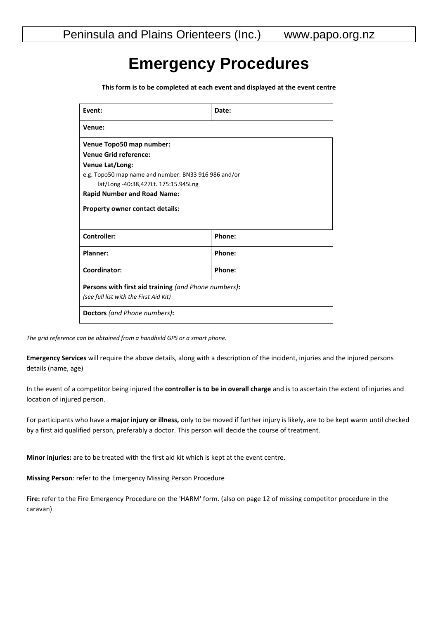## **Emergency Procedures**

**This form is to be completed at each event and displayed at the event centre**

| Event:                                               | Date:  |
|------------------------------------------------------|--------|
| Venue:                                               |        |
| Venue Topo50 map number:                             |        |
| <b>Venue Grid reference:</b>                         |        |
| Venue Lat/Long:                                      |        |
| e.g. Topo50 map name and number: BN33 916 986 and/or |        |
| lat/Long -40:38,427Lt. 175:15.945Lng                 |        |
| <b>Rapid Number and Road Name:</b>                   |        |
| <b>Property owner contact details:</b>               |        |
|                                                      |        |
| Controller:                                          | Phone: |
| Planner:                                             | Phone: |
| Coordinator:                                         | Phone: |
| Persons with first aid training (and Phone numbers): |        |
| (see full list with the First Aid Kit)               |        |
| Doctors (and Phone numbers):                         |        |

*The grid reference can be obtained from a handheld GPS or a smart phone.*

**Emergency Services** will require the above details, along with a description of the incident, injuries and the injured persons details (name, age)

In the event of a competitor being injured the **controller is to be in overall charge** and is to ascertain the extent of injuries and location of injured person.

For participants who have a **major injury or illness,** only to be moved if further injury is likely, are to be kept warm until checked by a first aid qualified person, preferably a doctor. This person will decide the course of treatment.

**Minor injuries:** are to be treated with the first aid kit which is kept at the event centre.

**Missing Person**: refer to the Emergency Missing Person Procedure

**Fire:** refer to the Fire Emergency Procedure on the 'HARM' form. (also on page 12 of missing competitor procedure in the caravan)